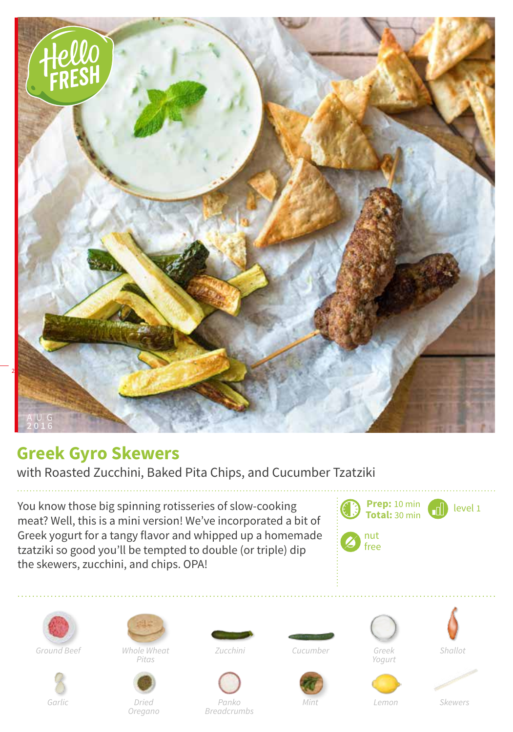

## **Greek Gyro Skewers**

with Roasted Zucchini, Baked Pita Chips, and Cucumber Tzatziki

You know those big spinning rotisseries of slow-cooking meat? Well, this is a mini version! We've incorporated a bit of Greek yogurt for a tangy flavor and whipped up a homemade tzatziki so good you'll be tempted to double (or triple) dip the skewers, zucchini, and chips. OPA!









*Pitas*



*Oregano*



*Garlic Dried Mint Panko Breadcrumbs*









*Yogurt*





*Lemon Skewers*